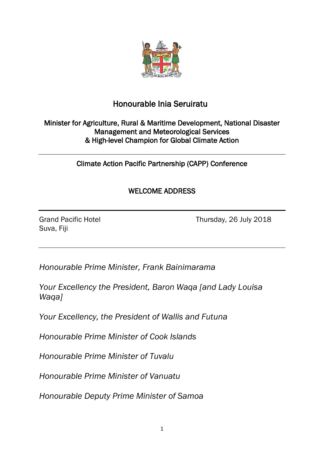

## Honourable Inia Seruiratu

## Minister for Agriculture, Rural & Maritime Development, National Disaster Management and Meteorological Services & High-level Champion for Global Climate Action

Climate Action Pacific Partnership (CAPP) Conference

## WELCOME ADDRESS

Suva, Fiji

Grand Pacific Hotel **Thursday, 26 July 2018** 

*Honourable Prime Minister, Frank Bainimarama*

*Your Excellency the President, Baron Waqa [and Lady Louisa Waqa]*

*Your Excellency, the President of Wallis and Futuna*

*Honourable Prime Minister of Cook Islands*

*Honourable Prime Minister of Tuvalu*

*Honourable Prime Minister of Vanuatu*

*Honourable Deputy Prime Minister of Samoa*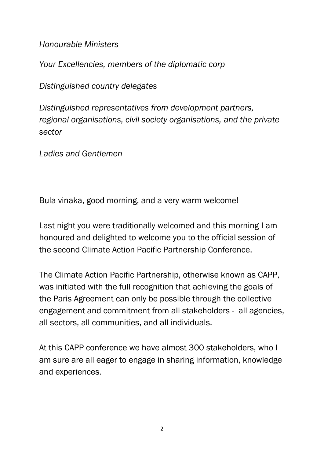*Honourable Ministers*

*Your Excellencies, members of the diplomatic corp*

*Distinguished country delegates*

*Distinguished representatives from development partners, regional organisations, civil society organisations, and the private sector* 

*Ladies and Gentlemen*

Bula vinaka, good morning, and a very warm welcome!

Last night you were traditionally welcomed and this morning I am honoured and delighted to welcome you to the official session of the second Climate Action Pacific Partnership Conference.

The Climate Action Pacific Partnership, otherwise known as CAPP, was initiated with the full recognition that achieving the goals of the Paris Agreement can only be possible through the collective engagement and commitment from all stakeholders - all agencies, all sectors, all communities, and all individuals.

At this CAPP conference we have almost 300 stakeholders, who I am sure are all eager to engage in sharing information, knowledge and experiences.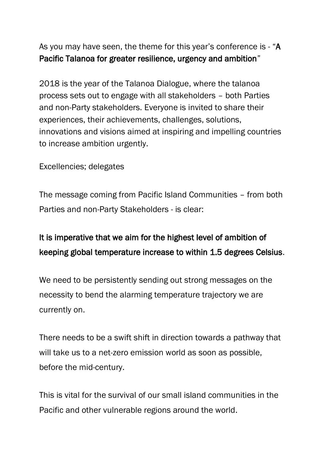As you may have seen, the theme for this year's conference is - "A Pacific Talanoa for greater resilience, urgency and ambition"

2018 is the year of the Talanoa Dialogue, where the talanoa process sets out to engage with all stakeholders – both Parties and non-Party stakeholders. Everyone is invited to share their experiences, their achievements, challenges, solutions, innovations and visions aimed at inspiring and impelling countries to increase ambition urgently.

Excellencies; delegates

The message coming from Pacific Island Communities – from both Parties and non-Party Stakeholders - is clear:

## It is imperative that we aim for the highest level of ambition of keeping global temperature increase to within 1.5 degrees Celsius.

We need to be persistently sending out strong messages on the necessity to bend the alarming temperature trajectory we are currently on.

There needs to be a swift shift in direction towards a pathway that will take us to a net-zero emission world as soon as possible, before the mid-century.

This is vital for the survival of our small island communities in the Pacific and other vulnerable regions around the world.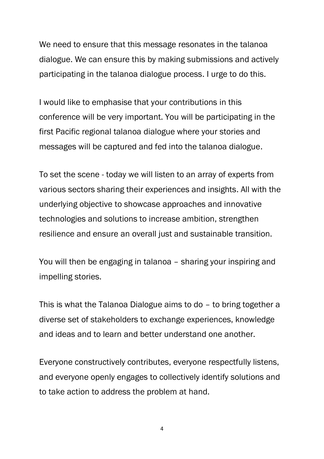We need to ensure that this message resonates in the talanoa dialogue. We can ensure this by making submissions and actively participating in the talanoa dialogue process. I urge to do this.

I would like to emphasise that your contributions in this conference will be very important. You will be participating in the first Pacific regional talanoa dialogue where your stories and messages will be captured and fed into the talanoa dialogue.

To set the scene - today we will listen to an array of experts from various sectors sharing their experiences and insights. All with the underlying objective to showcase approaches and innovative technologies and solutions to increase ambition, strengthen resilience and ensure an overall just and sustainable transition.

You will then be engaging in talanoa – sharing your inspiring and impelling stories.

This is what the Talanoa Dialogue aims to do – to bring together a diverse set of stakeholders to exchange experiences, knowledge and ideas and to learn and better understand one another.

Everyone constructively contributes, everyone respectfully listens, and everyone openly engages to collectively identify solutions and to take action to address the problem at hand.

4